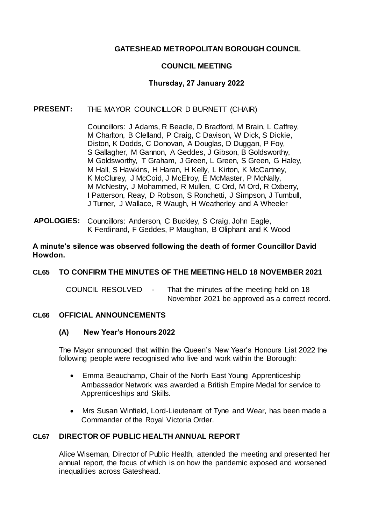# **GATESHEAD METROPOLITAN BOROUGH COUNCIL**

# **COUNCIL MEETING**

# **Thursday, 27 January 2022**

# **PRESENT:** THE MAYOR COUNCILLOR D BURNETT (CHAIR)

Councillors: J Adams, R Beadle, D Bradford, M Brain, L Caffrey, M Charlton, B Clelland, P Craig, C Davison, W Dick, S Dickie, Diston, K Dodds, C Donovan, A Douglas, D Duggan, P Foy, S Gallagher, M Gannon, A Geddes, J Gibson, B Goldsworthy, M Goldsworthy, T Graham, J Green, L Green, S Green, G Haley, M Hall, S Hawkins, H Haran, H Kelly, L Kirton, K McCartney, K McClurey, J McCoid, J McElroy, E McMaster, P McNally, M McNestry, J Mohammed, R Mullen, C Ord, M Ord, R Oxberry, I Patterson, Reay, D Robson, S Ronchetti, J Simpson, J Turnbull, J Turner, J Wallace, R Waugh, H Weatherley and A Wheeler

**APOLOGIES:** Councillors: Anderson, C Buckley, S Craig, John Eagle, K Ferdinand, F Geddes, P Maughan, B Oliphant and K Wood

#### **A minute's silence was observed following the death of former Councillor David Howdon.**

# **CL65 TO CONFIRM THE MINUTES OF THE MEETING HELD 18 NOVEMBER 2021**

COUNCIL RESOLVED - That the minutes of the meeting held on 18 November 2021 be approved as a correct record.

#### **CL66 OFFICIAL ANNOUNCEMENTS**

#### **(A) New Year's Honours 2022**

The Mayor announced that within the Queen's New Year's Honours List 2022 the following people were recognised who live and work within the Borough:

- Emma Beauchamp, Chair of the North East Young Apprenticeship Ambassador Network was awarded a British Empire Medal for service to Apprenticeships and Skills.
- Mrs Susan Winfield, Lord-Lieutenant of Tyne and Wear, has been made a Commander of the Royal Victoria Order.

# **CL67 DIRECTOR OF PUBLIC HEALTH ANNUAL REPORT**

Alice Wiseman, Director of Public Health, attended the meeting and presented her annual report, the focus of which is on how the pandemic exposed and worsened inequalities across Gateshead.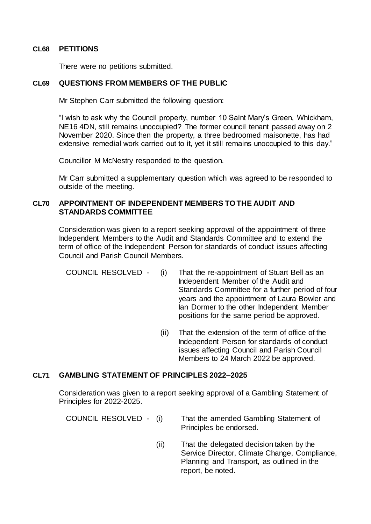### **CL68 PETITIONS**

There were no petitions submitted.

### **CL69 QUESTIONS FROM MEMBERS OF THE PUBLIC**

Mr Stephen Carr submitted the following question:

"I wish to ask why the Council property, number 10 Saint Mary's Green, Whickham, NE16 4DN, still remains unoccupied? The former council tenant passed away on 2 November 2020. Since then the property, a three bedroomed maisonette, has had extensive remedial work carried out to it, yet it still remains unoccupied to this day."

Councillor M McNestry responded to the question.

Mr Carr submitted a supplementary question which was agreed to be responded to outside of the meeting.

# **CL70 APPOINTMENT OF INDEPENDENT MEMBERS TO THE AUDIT AND STANDARDS COMMITTEE**

Consideration was given to a report seeking approval of the appointment of three Independent Members to the Audit and Standards Committee and to extend the term of office of the Independent Person for standards of conduct issues affecting Council and Parish Council Members.

- COUNCIL RESOLVED (i) That the re-appointment of Stuart Bell as an Independent Member of the Audit and Standards Committee for a further period of four years and the appointment of Laura Bowler and Ian Dormer to the other Independent Member positions for the same period be approved.
	- (ii) That the extension of the term of office of the Independent Person for standards of conduct issues affecting Council and Parish Council Members to 24 March 2022 be approved.

# **CL71 GAMBLING STATEMENT OF PRINCIPLES 2022–2025**

Consideration was given to a report seeking approval of a Gambling Statement of Principles for 2022-2025.

| COUNCIL RESOLVED - (i) | That the amended Gambling Statement of |
|------------------------|----------------------------------------|
|                        | Principles be endorsed.                |

(ii) That the delegated decision taken by the Service Director, Climate Change, Compliance, Planning and Transport, as outlined in the report, be noted.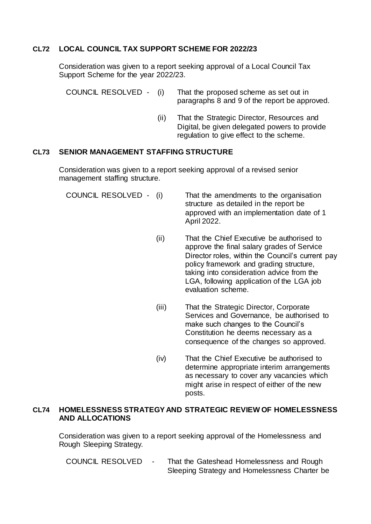# **CL72 LOCAL COUNCIL TAX SUPPORT SCHEME FOR 2022/23**

Consideration was given to a report seeking approval of a Local Council Tax Support Scheme for the year 2022/23.

| COUNCIL RESOLVED - (i) | That the proposed scheme as set out in        |
|------------------------|-----------------------------------------------|
|                        | paragraphs 8 and 9 of the report be approved. |

(ii) That the Strategic Director, Resources and Digital, be given delegated powers to provide regulation to give effect to the scheme.

#### **CL73 SENIOR MANAGEMENT STAFFING STRUCTURE**

Consideration was given to a report seeking approval of a revised senior management staffing structure.

| COUNCIL RESOLVED - (i) | That the amendments to the organisation<br>structure as detailed in the report be<br>approved with an implementation date of 1<br>April 2022. |
|------------------------|-----------------------------------------------------------------------------------------------------------------------------------------------|
| (ii)                   | That the Chief Executive be authorised to                                                                                                     |

- approve the final salary grades of Service Director roles, within the Council's current pay policy framework and grading structure, taking into consideration advice from the LGA, following application of the LGA job evaluation scheme.
- (iii) That the Strategic Director, Corporate Services and Governance, be authorised to make such changes to the Council's Constitution he deems necessary as a consequence of the changes so approved.
- (iv) That the Chief Executive be authorised to determine appropriate interim arrangements as necessary to cover any vacancies which might arise in respect of either of the new posts.

### **CL74 HOMELESSNESS STRATEGY AND STRATEGIC REVIEW OF HOMELESSNESS AND ALLOCATIONS**

Consideration was given to a report seeking approval of the Homelessness and Rough Sleeping Strategy.

COUNCIL RESOLVED - That the Gateshead Homelessness and Rough Sleeping Strategy and Homelessness Charter be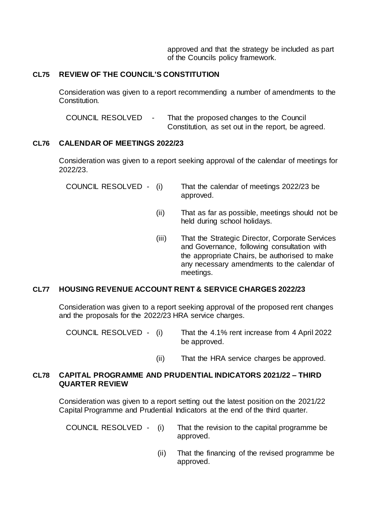approved and that the strategy be included as part of the Councils policy framework.

### **CL75 REVIEW OF THE COUNCIL'S CONSTITUTION**

Consideration was given to a report recommending a number of amendments to the Constitution.

COUNCIL RESOLVED - That the proposed changes to the Council Constitution, as set out in the report, be agreed.

#### **CL76 CALENDAR OF MEETINGS 2022/23**

Consideration was given to a report seeking approval of the calendar of meetings for 2022/23.

| COUNCIL RESOLVED - (i) | That the calendar of meetings 2022/23 be |
|------------------------|------------------------------------------|
|                        | approved.                                |

- (ii) That as far as possible, meetings should not be held during school holidays.
- (iii) That the Strategic Director, Corporate Services and Governance, following consultation with the appropriate Chairs, be authorised to make any necessary amendments to the calendar of meetings.

# **CL77 HOUSING REVENUE ACCOUNT RENT & SERVICE CHARGES 2022/23**

Consideration was given to a report seeking approval of the proposed rent changes and the proposals for the 2022/23 HRA service charges.

- COUNCIL RESOLVED (i) That the 4.1% rent increase from 4 April 2022 be approved.
	- (ii) That the HRA service charges be approved.

#### **CL78 CAPITAL PROGRAMME AND PRUDENTIAL INDICATORS 2021/22 – THIRD QUARTER REVIEW**

Consideration was given to a report setting out the latest position on the 2021/22 Capital Programme and Prudential Indicators at the end of the third quarter.

- COUNCIL RESOLVED (i) That the revision to the capital programme be approved.
	- (ii) That the financing of the revised programme be approved.